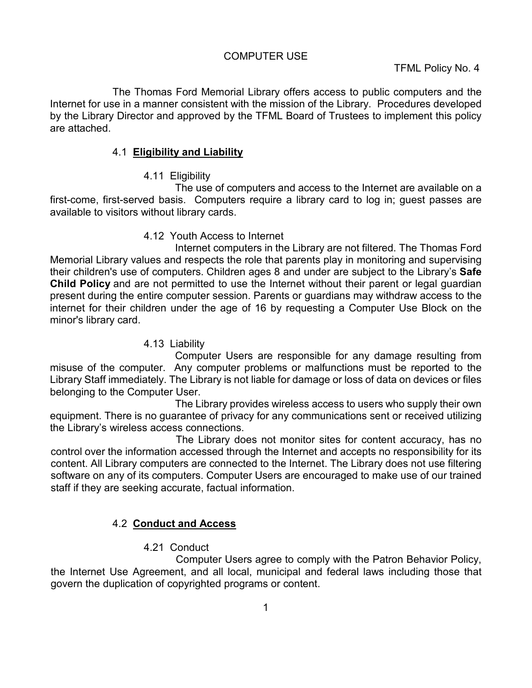#### COMPUTER USE

The Thomas Ford Memorial Library offers access to public computers and the Internet for use in a manner consistent with the mission of the Library. Procedures developed by the Library Director and approved by the TFML Board of Trustees to implement this policy are attached.

## 4.1 **Eligibility and Liability**

4.11 Eligibility

The use of computers and access to the Internet are available on a first-come, first-served basis. Computers require a library card to log in; guest passes are available to visitors without library cards.

## 4.12 Youth Access to Internet

Internet computers in the Library are not filtered. The Thomas Ford Memorial Library values and respects the role that parents play in monitoring and supervising their children's use of computers. Children ages 8 and under are subject to the Library's **Safe Child Policy** and are not permitted to use the Internet without their parent or legal guardian present during the entire computer session. Parents or guardians may withdraw access to the internet for their children under the age of 16 by requesting a Computer Use Block on the minor's library card.

## 4.13 Liability

Computer Users are responsible for any damage resulting from misuse of the computer. Any computer problems or malfunctions must be reported to the Library Staff immediately. The Library is not liable for damage or loss of data on devices or files belonging to the Computer User.

The Library provides wireless access to users who supply their own equipment. There is no guarantee of privacy for any communications sent or received utilizing the Library's wireless access connections.

The Library does not monitor sites for content accuracy, has no control over the information accessed through the Internet and accepts no responsibility for its content. All Library computers are connected to the Internet. The Library does not use filtering software on any of its computers. Computer Users are encouraged to make use of our trained staff if they are seeking accurate, factual information.

# 4.2 **Conduct and Access**

# 4.21 Conduct

Computer Users agree to comply with the Patron Behavior Policy, the Internet Use Agreement, and all local, municipal and federal laws including those that govern the duplication of copyrighted programs or content.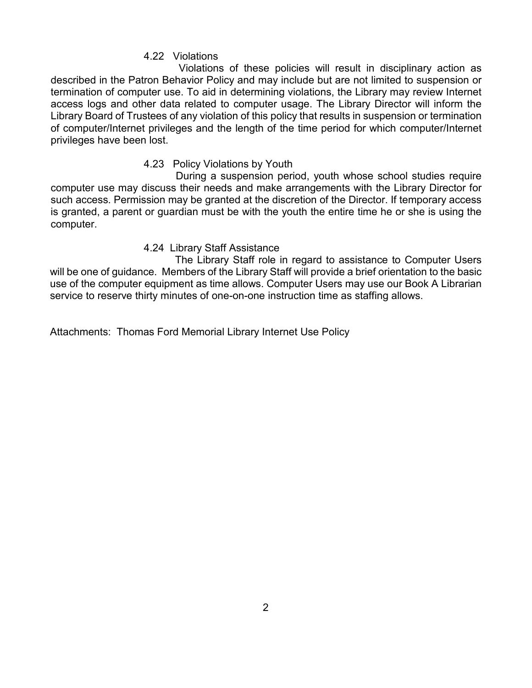### 4.22 Violations

Violations of these policies will result in disciplinary action as described in the Patron Behavior Policy and may include but are not limited to suspension or termination of computer use. To aid in determining violations, the Library may review Internet access logs and other data related to computer usage. The Library Director will inform the Library Board of Trustees of any violation of this policy that results in suspension or termination of computer/Internet privileges and the length of the time period for which computer/Internet privileges have been lost.

#### 4.23 Policy Violations by Youth

During a suspension period, youth whose school studies require computer use may discuss their needs and make arrangements with the Library Director for such access. Permission may be granted at the discretion of the Director. If temporary access is granted, a parent or guardian must be with the youth the entire time he or she is using the computer.

#### 4.24 Library Staff Assistance

The Library Staff role in regard to assistance to Computer Users will be one of guidance. Members of the Library Staff will provide a brief orientation to the basic use of the computer equipment as time allows. Computer Users may use our Book A Librarian service to reserve thirty minutes of one-on-one instruction time as staffing allows.

Attachments: Thomas Ford Memorial Library Internet Use Policy